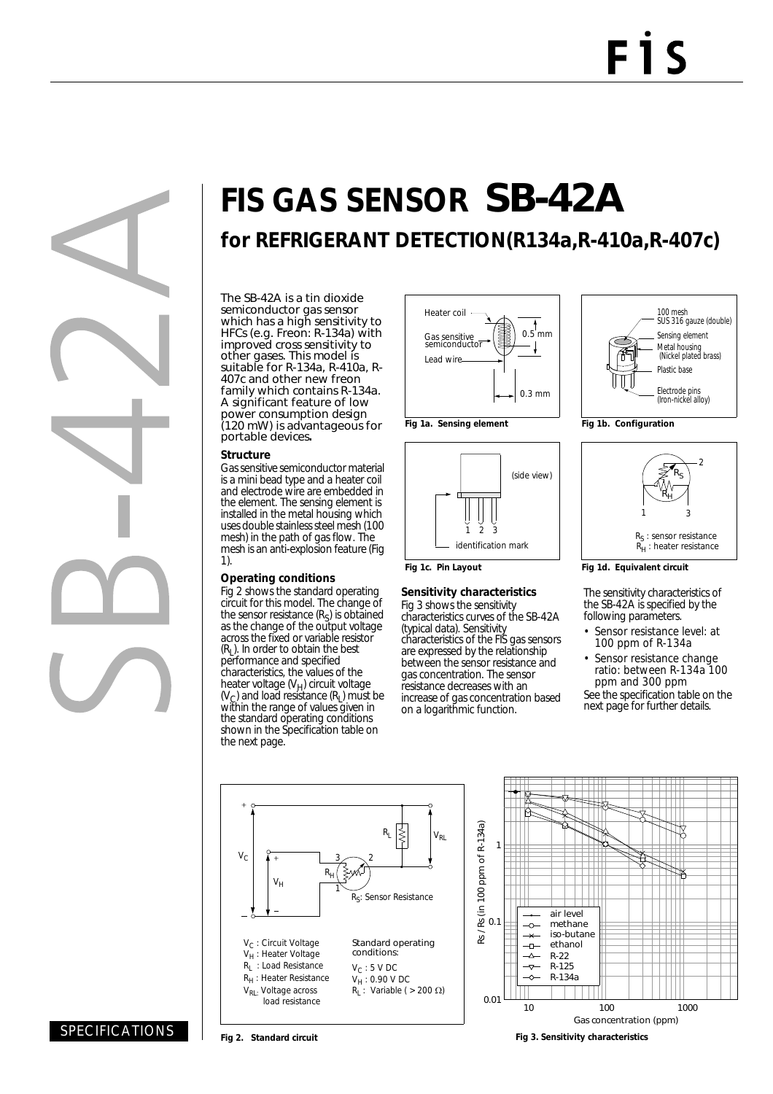# **FIS GAS SENSOR** SB-42A

**for REFRIGERANT DETECTION(R134a,R-410a,R-407c)**

The SB-42A is a tin dioxide semiconductor gas sensor which has a high sensitivity to HFCs (e.g. Freon: R-134a) with improved cross sensitivity to other gases. This model is suitable for R-134a, R-410a, R-407c and other new freon family which contains R-134a. A significant feature of low power consumption design (120 mW) is advantageous for portable devices**.**

#### **Structure**

Gas sensitive semiconductor material is a mini bead type and a heater coil and electrode wire are embedded in the element. The sensing element is installed in the metal housing which uses double stainless steel mesh (100 mesh) in the path of gas flow. The mesh is an anti-explosion feature (Fig 1).

#### **Operating conditions**

Fig 2 shows the standard operating circuit for this model. The change of the sensor resistance  $(R<sub>S</sub>)$  is obtained as the change of the output voltage across the fixed or variable resistor  $(R<sub>l</sub>)$ . In order to obtain the best performance and specified characteristics, the values of the heater voltage (V<sub>H</sub>) circuit voltage  $(V<sub>C</sub>)$  and load resistance  $(R<sub>L</sub>)$  must be within the range of values given in the standard operating conditions shown in the Specification table on the next page.





#### **Fig 1c. Pin Layout**

#### **Sensitivity characteristics**

Fig 3 shows the sensitivity characteristics curves of the SB-42A (typical data). Sensitivity characteristics of the FIS gas sensors are expressed by the relationship between the sensor resistance and gas concentration. The sensor resistance decreases with an increase of gas concentration based on a logarithmic function.





**Fig 1d. Equivalent circuit**

The sensitivity characteristics of the SB-42A is specified by the following parameters.

- Sensor resistance level: at 100 ppm of R-134a
- Sensor resistance change ratio: between R-134a 100 ppm and 300 ppm See the specification table on the next page for further details.